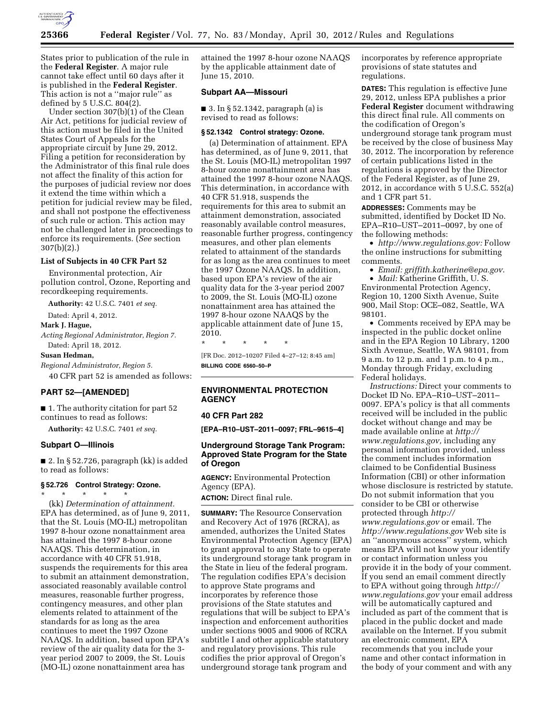

States prior to publication of the rule in the **Federal Register**. A major rule cannot take effect until 60 days after it is published in the **Federal Register**. This action is not a ''major rule'' as defined by 5 U.S.C. 804(2).

Under section 307(b)(1) of the Clean Air Act, petitions for judicial review of this action must be filed in the United States Court of Appeals for the appropriate circuit by June 29, 2012. Filing a petition for reconsideration by the Administrator of this final rule does not affect the finality of this action for the purposes of judicial review nor does it extend the time within which a petition for judicial review may be filed, and shall not postpone the effectiveness of such rule or action. This action may not be challenged later in proceedings to enforce its requirements. (*See* section 307(b)(2).)

#### **List of Subjects in 40 CFR Part 52**

Environmental protection, Air pollution control, Ozone, Reporting and recordkeeping requirements.

**Authority:** 42 U.S.C. 7401 *et seq.* 

Dated: April 4, 2012.

**Mark J. Hague,** 

*Acting Regional Administrator, Region 7.*  Dated: April 18, 2012.

## **Susan Hedman,**

*Regional Administrator, Region 5.*  40 CFR part 52 is amended as follows:

# **PART 52—[AMENDED]**

■ 1. The authority citation for part 52 continues to read as follows:

**Authority:** 42 U.S.C. 7401 *et seq.* 

#### **Subpart O—Illinois**

■ 2. In § 52.726, paragraph (kk) is added to read as follows:

#### **§ 52.726 Control Strategy: Ozone.**  \* \* \* \* \*

(kk) *Determination of attainment.*  EPA has determined, as of June 9, 2011, that the St. Louis (MO-IL) metropolitan 1997 8-hour ozone nonattainment area has attained the 1997 8-hour ozone NAAQS. This determination, in accordance with 40 CFR 51.918, suspends the requirements for this area to submit an attainment demonstration, associated reasonably available control measures, reasonable further progress, contingency measures, and other plan elements related to attainment of the standards for as long as the area continues to meet the 1997 Ozone NAAQS. In addition, based upon EPA's review of the air quality data for the 3 year period 2007 to 2009, the St. Louis (MO-IL) ozone nonattainment area has

attained the 1997 8-hour ozone NAAQS by the applicable attainment date of June 15, 2010.

### **Subpart AA—Missouri**

■ 3. In § 52.1342, paragraph (a) is revised to read as follows:

### **§ 52.1342 Control strategy: Ozone.**

(a) Determination of attainment. EPA has determined, as of June 9, 2011, that the St. Louis (MO-IL) metropolitan 1997 8-hour ozone nonattainment area has attained the 1997 8-hour ozone NAAQS. This determination, in accordance with 40 CFR 51.918, suspends the requirements for this area to submit an attainment demonstration, associated reasonably available control measures, reasonable further progress, contingency measures, and other plan elements related to attainment of the standards for as long as the area continues to meet the 1997 Ozone NAAQS. In addition, based upon EPA's review of the air quality data for the 3-year period 2007 to 2009, the St. Louis (MO-IL) ozone nonattainment area has attained the 1997 8-hour ozone NAAQS by the applicable attainment date of June 15, 2010.

\* \* \* \* \* [FR Doc. 2012–10207 Filed 4–27–12; 8:45 am] **BILLING CODE 6560–50–P** 

# **ENVIRONMENTAL PROTECTION AGENCY**

#### **40 CFR Part 282**

**[EPA–R10–UST–2011–0097; FRL–9615–4]** 

### **Underground Storage Tank Program: Approved State Program for the State of Oregon**

**AGENCY:** Environmental Protection Agency (EPA).

**ACTION:** Direct final rule.

**SUMMARY:** The Resource Conservation and Recovery Act of 1976 (RCRA), as amended, authorizes the United States Environmental Protection Agency (EPA) to grant approval to any State to operate its underground storage tank program in the State in lieu of the federal program. The regulation codifies EPA's decision to approve State programs and incorporates by reference those provisions of the State statutes and regulations that will be subject to EPA's inspection and enforcement authorities under sections 9005 and 9006 of RCRA subtitle I and other applicable statutory and regulatory provisions. This rule codifies the prior approval of Oregon's underground storage tank program and

incorporates by reference appropriate provisions of state statutes and regulations.

**DATES:** This regulation is effective June 29, 2012, unless EPA publishes a prior **Federal Register** document withdrawing this direct final rule. All comments on the codification of Oregon's underground storage tank program must be received by the close of business May 30, 2012. The incorporation by reference of certain publications listed in the regulations is approved by the Director of the Federal Register, as of June 29, 2012, in accordance with 5 U.S.C. 552(a) and 1 CFR part 51.

**ADDRESSES:** Comments may be submitted, identified by Docket ID No. EPA–R10–UST–2011–0097, by one of the following methods:

• *[http://www.regulations.gov:](http://www.regulations.gov)* Follow the online instructions for submitting comments.

• *Email: [griffith.katherine@epa.gov](mailto:griffith.katherine@epa.gov)*.

• *Mail:* Katherine Griffith, U. S. Environmental Protection Agency, Region 10, 1200 Sixth Avenue, Suite 900, Mail Stop: OCE–082, Seattle, WA 98101.

• Comments received by EPA may be inspected in the public docket online and in the EPA Region 10 Library, 1200 Sixth Avenue, Seattle, WA 98101, from 9 a.m. to 12 p.m. and 1 p.m. to 4 p.m., Monday through Friday, excluding Federal holidays.

*Instructions:* Direct your comments to Docket ID No. EPA–R10–UST–2011– 0097. EPA's policy is that all comments received will be included in the public docket without change and may be made available online at *[http://](http://www.regulations.gov)  [www.regulations.gov,](http://www.regulations.gov)* including any personal information provided, unless the comment includes information claimed to be Confidential Business Information (CBI) or other information whose disclosure is restricted by statute. Do not submit information that you consider to be CBI or otherwise protected through *[http://](http://www.regulations.gov)  [www.regulations.gov](http://www.regulations.gov)* or email. The *<http://www.regulations.gov>* Web site is an ''anonymous access'' system, which means EPA will not know your identify or contact information unless you provide it in the body of your comment. If you send an email comment directly to EPA without going through *[http://](http://www.regulations.gov) [www.regulations.gov](http://www.regulations.gov)* your email address will be automatically captured and included as part of the comment that is placed in the public docket and made available on the Internet. If you submit an electronic comment, EPA recommends that you include your name and other contact information in the body of your comment and with any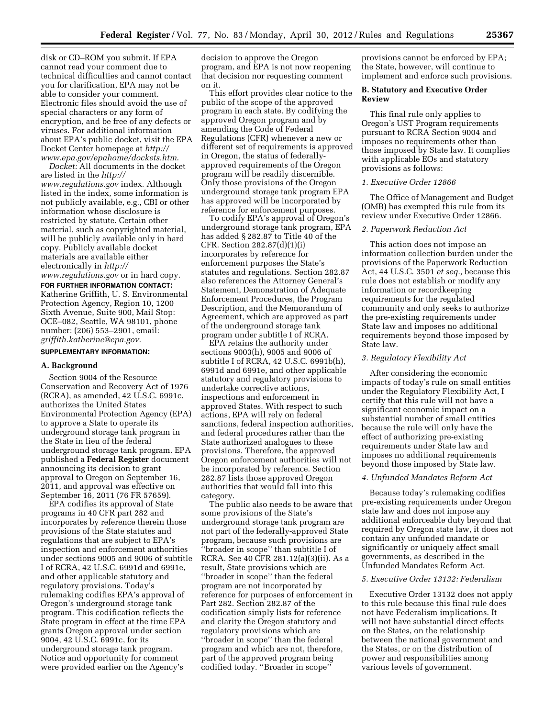disk or CD–ROM you submit. If EPA cannot read your comment due to technical difficulties and cannot contact you for clarification, EPA may not be able to consider your comment. Electronic files should avoid the use of special characters or any form of encryption, and be free of any defects or viruses. For additional information about EPA's public docket, visit the EPA Docket Center homepage at *[http://](http://www.epa.gov/epahome/dockets.htm) [www.epa.gov/epahome/dockets.htm](http://www.epa.gov/epahome/dockets.htm)*.

*Docket:* All documents in the docket are listed in the *[http://](http://www.regulations.gov) [www.regulations.gov](http://www.regulations.gov)* index. Although listed in the index, some information is not publicly available, e.g., CBI or other information whose disclosure is restricted by statute. Certain other material, such as copyrighted material, will be publicly available only in hard copy. Publicly available docket materials are available either electronically in *[http://](http://www.regulations.gov) [www.regulations.gov](http://www.regulations.gov)* or in hard copy.

**FOR FURTHER INFORMATION CONTACT:**  Katherine Griffith, U. S. Environmental Protection Agency, Region 10, 1200 Sixth Avenue, Suite 900, Mail Stop: OCE–082, Seattle, WA 98101, phone number: (206) 553–2901, email: *[griffith.katherine@epa.gov](mailto:griffith.katherine@epa.gov)*.

#### **SUPPLEMENTARY INFORMATION:**

#### **A. Background**

Section 9004 of the Resource Conservation and Recovery Act of 1976 (RCRA), as amended, 42 U.S.C. 6991c, authorizes the United States Environmental Protection Agency (EPA) to approve a State to operate its underground storage tank program in the State in lieu of the federal underground storage tank program. EPA published a **Federal Register** document announcing its decision to grant approval to Oregon on September 16, 2011, and approval was effective on September 16, 2011 (76 FR 57659).

EPA codifies its approval of State programs in 40 CFR part 282 and incorporates by reference therein those provisions of the State statutes and regulations that are subject to EPA's inspection and enforcement authorities under sections 9005 and 9006 of subtitle I of RCRA, 42 U.S.C. 6991d and 6991e, and other applicable statutory and regulatory provisions. Today's rulemaking codifies EPA's approval of Oregon's underground storage tank program. This codification reflects the State program in effect at the time EPA grants Oregon approval under section 9004, 42 U.S.C. 6991c, for its underground storage tank program. Notice and opportunity for comment were provided earlier on the Agency's

decision to approve the Oregon program, and EPA is not now reopening that decision nor requesting comment on it.

This effort provides clear notice to the public of the scope of the approved program in each state. By codifying the approved Oregon program and by amending the Code of Federal Regulations (CFR) whenever a new or different set of requirements is approved in Oregon, the status of federallyapproved requirements of the Oregon program will be readily discernible. Only those provisions of the Oregon underground storage tank program EPA has approved will be incorporated by reference for enforcement purposes.

To codify EPA's approval of Oregon's underground storage tank program, EPA has added § 282.87 to Title 40 of the CFR. Section 282.87(d)(1)(i) incorporates by reference for enforcement purposes the State's statutes and regulations. Section 282.87 also references the Attorney General's Statement, Demonstration of Adequate Enforcement Procedures, the Program Description, and the Memorandum of Agreement, which are approved as part of the underground storage tank program under subtitle I of RCRA.

EPA retains the authority under sections 9003(h), 9005 and 9006 of subtitle I of RCRA, 42 U.S.C. 6991b(h), 6991d and 6991e, and other applicable statutory and regulatory provisions to undertake corrective actions, inspections and enforcement in approved States. With respect to such actions, EPA will rely on federal sanctions, federal inspection authorities, and federal procedures rather than the State authorized analogues to these provisions. Therefore, the approved Oregon enforcement authorities will not be incorporated by reference. Section 282.87 lists those approved Oregon authorities that would fall into this category.

The public also needs to be aware that some provisions of the State's underground storage tank program are not part of the federally-approved State program, because such provisions are ''broader in scope'' than subtitle I of RCRA. See 40 CFR 281.12(a)(3)(ii). As a result, State provisions which are ''broader in scope'' than the federal program are not incorporated by reference for purposes of enforcement in Part 282. Section 282.87 of the codification simply lists for reference and clarity the Oregon statutory and regulatory provisions which are ''broader in scope'' than the federal program and which are not, therefore, part of the approved program being codified today. ''Broader in scope''

provisions cannot be enforced by EPA; the State, however, will continue to implement and enforce such provisions.

#### **B. Statutory and Executive Order Review**

This final rule only applies to Oregon's UST Program requirements pursuant to RCRA Section 9004 and imposes no requirements other than those imposed by State law. It complies with applicable EOs and statutory provisions as follows:

### *1. Executive Order 12866*

The Office of Management and Budget (OMB) has exempted this rule from its review under Executive Order 12866.

#### *2. Paperwork Reduction Act*

This action does not impose an information collection burden under the provisions of the Paperwork Reduction Act, 44 U.S.C. 3501 *et seq.,* because this rule does not establish or modify any information or recordkeeping requirements for the regulated community and only seeks to authorize the pre-existing requirements under State law and imposes no additional requirements beyond those imposed by State law.

#### *3. Regulatory Flexibility Act*

After considering the economic impacts of today's rule on small entities under the Regulatory Flexibility Act, I certify that this rule will not have a significant economic impact on a substantial number of small entities because the rule will only have the effect of authorizing pre-existing requirements under State law and imposes no additional requirements beyond those imposed by State law.

# *4. Unfunded Mandates Reform Act*

Because today's rulemaking codifies pre-existing requirements under Oregon state law and does not impose any additional enforceable duty beyond that required by Oregon state law, it does not contain any unfunded mandate or significantly or uniquely affect small governments, as described in the Unfunded Mandates Reform Act.

### *5. Executive Order 13132: Federalism*

Executive Order 13132 does not apply to this rule because this final rule does not have Federalism implications. It will not have substantial direct effects on the States, on the relationship between the national government and the States, or on the distribution of power and responsibilities among various levels of government.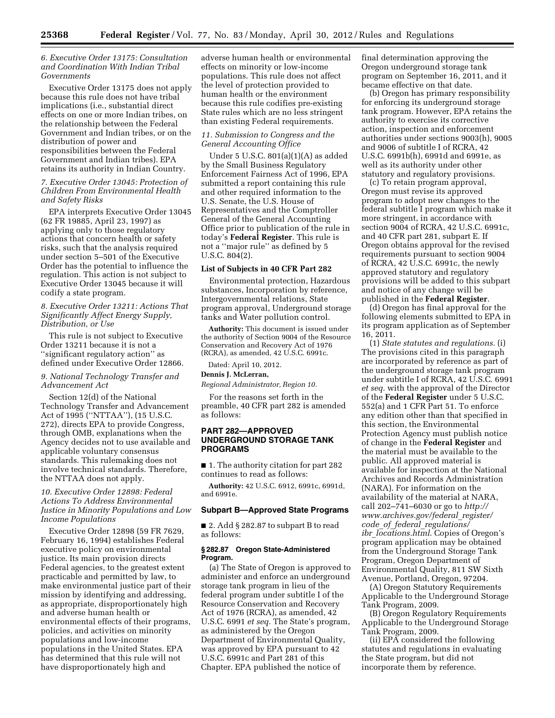### *6. Executive Order 13175: Consultation and Coordination With Indian Tribal Governments*

Executive Order 13175 does not apply because this rule does not have tribal implications (i.e., substantial direct effects on one or more Indian tribes, on the relationship between the Federal Government and Indian tribes, or on the distribution of power and responsibilities between the Federal Government and Indian tribes). EPA retains its authority in Indian Country.

### *7. Executive Order 13045: Protection of Children From Environmental Health and Safety Risks*

EPA interprets Executive Order 13045 (62 FR 19885, April 23, 1997) as applying only to those regulatory actions that concern health or safety risks, such that the analysis required under section 5–501 of the Executive Order has the potential to influence the regulation. This action is not subject to Executive Order 13045 because it will codify a state program.

# *8. Executive Order 13211: Actions That Significantly Affect Energy Supply, Distribution, or Use*

This rule is not subject to Executive Order 13211 because it is not a ''significant regulatory action'' as defined under Executive Order 12866.

# *9. National Technology Transfer and Advancement Act*

Section 12(d) of the National Technology Transfer and Advancement Act of 1995 (''NTTAA''), (15 U.S.C. 272), directs EPA to provide Congress, through OMB, explanations when the Agency decides not to use available and applicable voluntary consensus standards. This rulemaking does not involve technical standards. Therefore, the NTTAA does not apply.

# *10. Executive Order 12898: Federal Actions To Address Environmental Justice in Minority Populations and Low Income Populations*

Executive Order 12898 (59 FR 7629, February 16, 1994) establishes Federal executive policy on environmental justice. Its main provision directs Federal agencies, to the greatest extent practicable and permitted by law, to make environmental justice part of their mission by identifying and addressing, as appropriate, disproportionately high and adverse human health or environmental effects of their programs, policies, and activities on minority populations and low-income populations in the United States. EPA has determined that this rule will not have disproportionately high and

adverse human health or environmental effects on minority or low-income populations. This rule does not affect the level of protection provided to human health or the environment because this rule codifies pre-existing State rules which are no less stringent than existing Federal requirements.

# *11. Submission to Congress and the General Accounting Office*

Under 5 U.S.C. 801(a)(1)(A) as added by the Small Business Regulatory Enforcement Fairness Act of 1996, EPA submitted a report containing this rule and other required information to the U.S. Senate, the U.S. House of Representatives and the Comptroller General of the General Accounting Office prior to publication of the rule in today's **Federal Register**. This rule is not a ''major rule'' as defined by 5 U.S.C. 804(2).

#### **List of Subjects in 40 CFR Part 282**

Environmental protection, Hazardous substances, Incorporation by reference, Intergovernmental relations, State program approval, Underground storage tanks and Water pollution control.

**Authority:** This document is issued under the authority of Section 9004 of the Resource Conservation and Recovery Act of 1976 (RCRA), as amended, 42 U.S.C. 6991c.

Dated: April 10, 2012.

# **Dennis J. McLerran,**

*Regional Administrator, Region 10.* 

For the reasons set forth in the preamble, 40 CFR part 282 is amended as follows:

### **PART 282—APPROVED UNDERGROUND STORAGE TANK PROGRAMS**

■ 1. The authority citation for part 282 continues to read as follows:

**Authority:** 42 U.S.C. 6912, 6991c, 6991d, and 6991e.

### **Subpart B—Approved State Programs**

■ 2. Add § 282.87 to subpart B to read as follows:

#### **§ 282.87 Oregon State-Administered Program.**

(a) The State of Oregon is approved to administer and enforce an underground storage tank program in lieu of the federal program under subtitle I of the Resource Conservation and Recovery Act of 1976 (RCRA), as amended, 42 U.S.C. 6991 *et seq.* The State's program, as administered by the Oregon Department of Environmental Quality, was approved by EPA pursuant to 42 U.S.C. 6991c and Part 281 of this Chapter. EPA published the notice of

final determination approving the Oregon underground storage tank program on September 16, 2011, and it became effective on that date.

(b) Oregon has primary responsibility for enforcing its underground storage tank program. However, EPA retains the authority to exercise its corrective action, inspection and enforcement authorities under sections 9003(h), 9005 and 9006 of subtitle I of RCRA, 42 U.S.C. 6991b(h), 6991d and 6991e, as well as its authority under other statutory and regulatory provisions.

(c) To retain program approval, Oregon must revise its approved program to adopt new changes to the federal subtitle I program which make it more stringent, in accordance with section 9004 of RCRA, 42 U.S.C. 6991c, and 40 CFR part 281, subpart E. If Oregon obtains approval for the revised requirements pursuant to section 9004 of RCRA, 42 U.S.C. 6991c, the newly approved statutory and regulatory provisions will be added to this subpart and notice of any change will be published in the **Federal Register**.

(d) Oregon has final approval for the following elements submitted to EPA in its program application as of September 16, 2011.

(1) *State statutes and regulations.* (i) The provisions cited in this paragraph are incorporated by reference as part of the underground storage tank program under subtitle I of RCRA, 42 U.S.C. 6991 *et seq.* with the approval of the Director of the **Federal Register** under 5 U.S.C. 552(a) and 1 CFR Part 51. To enforce any edition other than that specified in this section, the Environmental Protection Agency must publish notice of change in the **Federal Register** and the material must be available to the public. All approved material is available for inspection at the National Archives and Records Administration (NARA). For information on the availability of the material at NARA, call 202–741–6030 or go to *[http://](http://www.archives.gov/federal_register/code_of_federal_regulations/ibr_locations.html)  [www.archives.gov/federal](http://www.archives.gov/federal_register/code_of_federal_regulations/ibr_locations.html)*\_*register/ code*\_*of*\_*federal*\_*[regulations/](http://www.archives.gov/federal_register/code_of_federal_regulations/ibr_locations.html)  ibr*\_*[locations.html](http://www.archives.gov/federal_register/code_of_federal_regulations/ibr_locations.html)*. Copies of Oregon's program application may be obtained from the Underground Storage Tank Program, Oregon Department of Environmental Quality, 811 SW Sixth Avenue, Portland, Oregon, 97204.

(A) Oregon Statutory Requirements Applicable to the Underground Storage Tank Program, 2009.

(B) Oregon Regulatory Requirements Applicable to the Underground Storage Tank Program, 2009.

(ii) EPA considered the following statutes and regulations in evaluating the State program, but did not incorporate them by reference.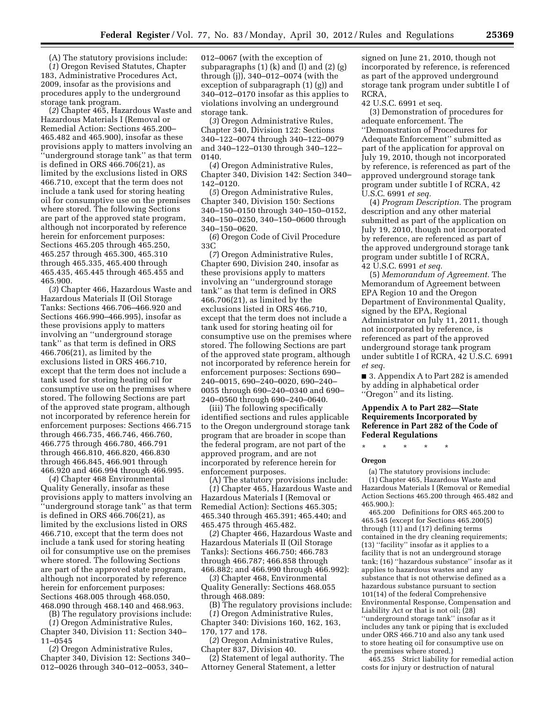(A) The statutory provisions include: (*1*) Oregon Revised Statutes, Chapter 183, Administrative Procedures Act, 2009, insofar as the provisions and procedures apply to the underground storage tank program.

(*2*) Chapter 465, Hazardous Waste and Hazardous Materials I (Removal or Remedial Action: Sections 465.200– 465.482 and 465.900), insofar as these provisions apply to matters involving an ''underground storage tank'' as that term is defined in ORS 466.706(21), as limited by the exclusions listed in ORS 466.710, except that the term does not include a tank used for storing heating oil for consumptive use on the premises where stored. The following Sections are part of the approved state program, although not incorporated by reference herein for enforcement purposes: Sections 465.205 through 465.250, 465.257 through 465.300, 465.310 through 465.335, 465.400 through 465.435, 465.445 through 465.455 and 465.900.

(*3*) Chapter 466, Hazardous Waste and Hazardous Materials II (Oil Storage Tanks: Sections 466.706–466.920 and Sections 466.990–466.995), insofar as these provisions apply to matters involving an ''underground storage tank'' as that term is defined in ORS 466.706(21), as limited by the exclusions listed in ORS 466.710, except that the term does not include a tank used for storing heating oil for consumptive use on the premises where stored. The following Sections are part of the approved state program, although not incorporated by reference herein for enforcement purposes: Sections 466.715 through 466.735, 466.746, 466.760, 466.775 through 466.780, 466.791 through 466.810, 466.820, 466.830 through 466.845, 466.901 through 466.920 and 466.994 through 466.995.

(*4*) Chapter 468 Environmental Quality Generally, insofar as these provisions apply to matters involving an ''underground storage tank'' as that term is defined in ORS 466.706(21), as limited by the exclusions listed in ORS 466.710, except that the term does not include a tank used for storing heating oil for consumptive use on the premises where stored. The following Sections are part of the approved state program, although not incorporated by reference herein for enforcement purposes: Sections 468.005 through 468.050, 468.090 through 468.140 and 468.963.

(B) The regulatory provisions include:

(*1*) Oregon Administrative Rules, Chapter 340, Division 11: Section 340–

11–0545 (*2*) Oregon Administrative Rules, Chapter 340, Division 12: Sections 340– 012–0026 through 340–012–0053, 340–

012–0067 (with the exception of subparagraphs  $(1)$   $(k)$  and  $(l)$  and  $(2)$   $(g)$ through (j)), 340–012–0074 (with the exception of subparagraph (1) (g)) and 340–012–0170 insofar as this applies to violations involving an underground storage tank.

(*3*) Oregon Administrative Rules, Chapter 340, Division 122: Sections 340–122–0074 through 340–122–0079 and 340–122–0130 through 340–122– 0140.

(*4*) Oregon Administrative Rules, Chapter 340, Division 142: Section 340– 142–0120.

(*5*) Oregon Administrative Rules, Chapter 340, Division 150: Sections 340–150–0150 through 340–150–0152, 340–150–0250, 340–150–0600 through 340–150–0620.

(*6*) Oregon Code of Civil Procedure 33C

(*7*) Oregon Administrative Rules, Chapter 690, Division 240, insofar as these provisions apply to matters involving an ''underground storage tank'' as that term is defined in ORS 466.706(21), as limited by the exclusions listed in ORS 466.710, except that the term does not include a tank used for storing heating oil for consumptive use on the premises where stored. The following Sections are part of the approved state program, although not incorporated by reference herein for enforcement purposes: Sections 690– 240–0015, 690–240–0020, 690–240– 0055 through 690–240–0340 and 690– 240–0560 through 690–240–0640.

(iii) The following specifically identified sections and rules applicable to the Oregon underground storage tank program that are broader in scope than the federal program, are not part of the approved program, and are not incorporated by reference herein for enforcement purposes.

(A) The statutory provisions include: (*1*) Chapter 465, Hazardous Waste and Hazardous Materials I (Removal or Remedial Action): Sections 465.305; 465.340 through 465.391; 465.440; and 465.475 through 465.482.

(*2*) Chapter 466, Hazardous Waste and Hazardous Materials II (Oil Storage Tanks): Sections 466.750; 466.783 through 466.787; 466.858 through 466.882; and 466.990 through 466.992):

(*3*) Chapter 468, Environmental Quality Generally: Sections 468.055 through 468.089:

(B) The regulatory provisions include: (*1*) Oregon Administrative Rules,

Chapter 340: Divisions 160, 162, 163, 170, 177 and 178.

(*2*) Oregon Administrative Rules, Chapter 837, Division 40.

(2) Statement of legal authority. The Attorney General Statement, a letter

signed on June 21, 2010, though not incorporated by reference, is referenced as part of the approved underground storage tank program under subtitle I of RCRA,

42 U.S.C. 6991 et seq.

(3) Demonstration of procedures for adequate enforcement. The ''Demonstration of Procedures for Adequate Enforcement'' submitted as part of the application for approval on July 19, 2010, though not incorporated by reference, is referenced as part of the approved underground storage tank program under subtitle I of RCRA, 42 U.S.C. 6991 *et seq.* 

(4) *Program Description.* The program description and any other material submitted as part of the application on July 19, 2010, though not incorporated by reference, are referenced as part of the approved underground storage tank program under subtitle I of RCRA, 42 U.S.C. 6991 *et seq.* 

(5) *Memorandum of Agreement.* The Memorandum of Agreement between EPA Region 10 and the Oregon Department of Environmental Quality, signed by the EPA, Regional Administrator on July 11, 2011, though not incorporated by reference, is referenced as part of the approved underground storage tank program under subtitle I of RCRA, 42 U.S.C. 6991 *et seq.* 

■ 3. Appendix A to Part 282 is amended by adding in alphabetical order ''Oregon'' and its listing.

# **Appendix A to Part 282—State Requirements Incorporated by Reference in Part 282 of the Code of Federal Regulations**

\* \* \* \* \*

#### **Oregon**

(a) The statutory provisions include: (1) Chapter 465, Hazardous Waste and Hazardous Materials I (Removal or Remedial Action Sections 465.200 through 465.482 and 465.900.):

465.200 Definitions for ORS 465.200 to 465.545 (except for Sections 465.200(5) through (11) and (17) defining terms contained in the dry cleaning requirements; (13) ''facility'' insofar as it applies to a facility that is not an underground storage tank; (16) ''hazardous substance'' insofar as it applies to hazardous wastes and any substance that is not otherwise defined as a hazardous substance pursuant to section 101(14) of the federal Comprehensive Environmental Response, Compensation and Liability Act or that is not oil; (28) ''underground storage tank'' insofar as it includes any tank or piping that is excluded under ORS 466.710 and also any tank used to store heating oil for consumptive use on the premises where stored.)

465.255 Strict liability for remedial action costs for injury or destruction of natural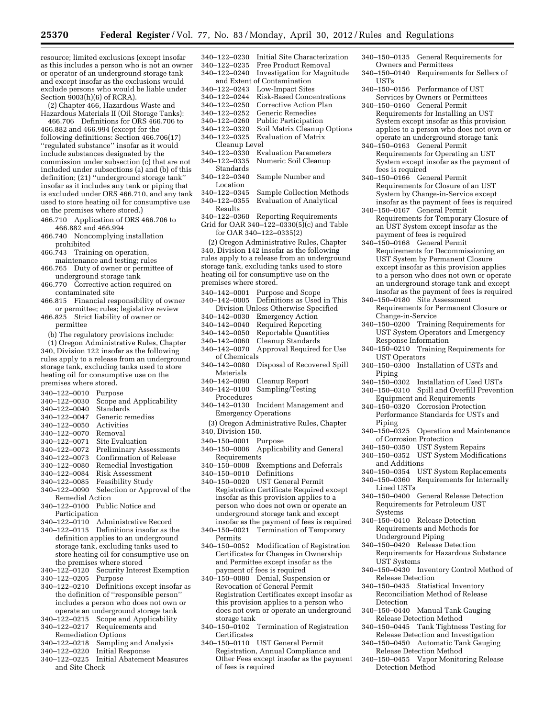resource; limited exclusions (except insofar as this includes a person who is not an owner or operator of an underground storage tank and except insofar as the exclusions would exclude persons who would be liable under Section 9003(h)(6) of RCRA).

(2) Chapter 466, Hazardous Waste and Hazardous Materials II (Oil Storage Tanks):

466.706 Definitions for ORS 466.706 to 466.882 and 466.994 (except for the following definitions: Section 466.706(17) ''regulated substance'' insofar as it would include substances designated by the commission under subsection (c) that are not included under subsections (a) and (b) of this definition; (21) ''underground storage tank'' insofar as it includes any tank or piping that is excluded under ORS 466.710, and any tank used to store heating oil for consumptive use on the premises where stored.)

- 466.710 Application of ORS 466.706 to 466.882 and 466.994
- 466.740 Noncomplying installation prohibited
- 466.743 Training on operation,
- maintenance and testing; rules 466.765 Duty of owner or permittee of
- underground storage tank 466.770 Corrective action required on contaminated site
- 466.815 Financial responsibility of owner or permittee; rules; legislative review
- 466.825 Strict liability of owner or permittee
	- (b) The regulatory provisions include:

(1) Oregon Administrative Rules, Chapter 340, Division 122 insofar as the following rules apply to a release from an underground storage tank, excluding tanks used to store heating oil for consumptive use on the premises where stored.

- 340–122–0010 Purpose
- 340–122–0030 Scope and Applicability
- $340 122 0040$ <br> $340 122 0047$
- Generic remedies
- 340–122–0050 Activities
- 340–122–0070
- 340–122–0071 Site Evaluation
- 340–122–0072 Preliminary Assessments
- Confirmation of Release
- 340–122–0080 Remedial Investigation 340–122–0084 Risk Assessment
- 340–122–0085 Feasibility Study
- 340–122–0090 Selection or Approval of the Remedial Action
- 340–122–0100 Public Notice and
- Participation
- 340–122–0110 Administrative Record
- 340–122–0115 Definitions insofar as the definition applies to an underground storage tank, excluding tanks used to store heating oil for consumptive use on the premises where stored
- 340–122–0120 Security Interest Exemption
- 340–122–0205
- 340–122–0210 Definitions except insofar as the definition of ''responsible person'' includes a person who does not own or operate an underground storage tank
- 340–122–0215 Scope and Applicability
- 340–122–0217 Requirements and
- Remediation Options
- 340–122–0218 Sampling and Analysis 340–122–0220 Initial Response
- 340–122–0225 Initial Abatement Measures
- and Site Check
- 340–122–0230 Initial Site Characterization Free Product Removal 340–122–0240 Investigation for Magnitude and Extent of Contamination 340–122–0243 Low-Impact Sites 340–122–0244 Risk-Based Concentrations 340–122–0250 Corrective Action Plan Generic Remedies 340–122–0260 Public Participation Soil Matrix Cleanup Options 340–122–0325 Evaluation of Matrix Cleanup Level 340–122–0330 Evaluation Parameters Numeric Soil Cleanup Standards 340–122–0340 Sample Number and Location<br>340–122–0345 Sample Collection Methods 340–122–0355 Evaluation of Analytical Results 340–122–0360 Reporting Requirements Grid for OAR 340– $122-0330(5)(c)$  and Table for OAR 340–122–0335(2) (2) Oregon Administrative Rules, Chapter 340, Division 142 insofar as the following rules apply to a release from an underground storage tank, excluding tanks used to store heating oil for consumptive use on the premises where stored. 340–142–0001 Purpose and Scope
- 340–142–0005 Definitions as Used in This Division Unless Otherwise Specified
- 340–142–0030 Emergency Action
- Required Reporting
- 340–142–0050 Reportable Quantities
- 340–142–0060 Cleanup Standards
- Approval Required for Use of Chemicals
- 340–142–0080 Disposal of Recovered Spill Materials<br>340–142–0090
- Cleanup Report
- 340–142–0100 Sampling/Testing Procedures
- 340–142–0130 Incident Management and Emergency Operations
- (3) Oregon Administrative Rules, Chapter 340, Division 150.
- 340–150–0001 Purpose
- 340–150–0006 Applicability and General Requirements
- 340–150–0008 Exemptions and Deferrals
- 340-150-0010
- 340–150–0020 UST General Permit Registration Certificate Required except insofar as this provision applies to a person who does not own or operate an underground storage tank and except insofar as the payment of fees is required
- 340–150–0021 Termination of Temporary Permits
- 340–150–0052 Modification of Registration Certificates for Changes in Ownership and Permittee except insofar as the payment of fees is required
- 340–150–0080 Denial, Suspension or Revocation of General Permit Registration Certificates except insofar as this provision applies to a person who does not own or operate an underground storage tank
- 340–150–0102 Termination of Registration Certificates
- 340–150–0110 UST General Permit Registration, Annual Compliance and Other Fees except insofar as the payment of fees is required
- 340–150–0135 General Requirements for Owners and Permittees
- 340–150–0140 Requirements for Sellers of USTs
- 340–150–0156 Performance of UST Services by Owners or Permittees
- 340–150–0160 General Permit Requirements for Installing an UST System except insofar as this provision applies to a person who does not own or operate an underground storage tank
- 340–150–0163 General Permit Requirements for Operating an UST System except insofar as the payment of fees is required
- 340–150–0166 General Permit Requirements for Closure of an UST System by Change-in-Service except insofar as the payment of fees is required
- 340–150–0167 General Permit Requirements for Temporary Closure of an UST System except insofar as the payment of fees is required
- 340–150–0168 General Permit Requirements for Decommissioning an UST System by Permanent Closure except insofar as this provision applies to a person who does not own or operate an underground storage tank and except insofar as the payment of fees is required
- 340–150–0180 Site Assessment Requirements for Permanent Closure or Change-in-Service
- 340–150–0200 Training Requirements for UST System Operators and Emergency Response Information
- 340–150–0210 Training Requirements for UST Operators
- 340–150–0300 Installation of USTs and Piping
- 340–150–0302 Installation of Used USTs
- 340–150–0310 Spill and Overfill Prevention Equipment and Requirements
- 340–150–0320 Corrosion Protection Performance Standards for USTs and Piping
- 340–150–0325 Operation and Maintenance of Corrosion Protection
- 340–150–0350 UST System Repairs
- 340–150–0352 UST System Modifications and Additions
- 340–150–0354 UST System Replacements
- 340–150–0360 Requirements for Internally Lined USTs
- 340–150–0400 General Release Detection Requirements for Petroleum UST Systems
- 340–150–0410 Release Detection Requirements and Methods for Underground Piping
- 340–150–0420 Release Detection Requirements for Hazardous Substance UST Systems
- 340–150–0430 Inventory Control Method of Release Detection
- 340–150–0435 Statistical Inventory Reconciliation Method of Release Detection
- 340–150–0440 Manual Tank Gauging Release Detection Method
- 340–150–0445 Tank Tightness Testing for Release Detection and Investigation
- 340–150–0450 Automatic Tank Gauging Release Detection Method
- 340–150–0455 Vapor Monitoring Release Detection Method